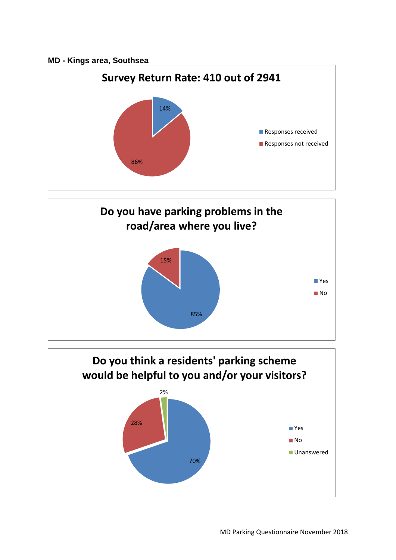## **MD - Kings area, Southsea**





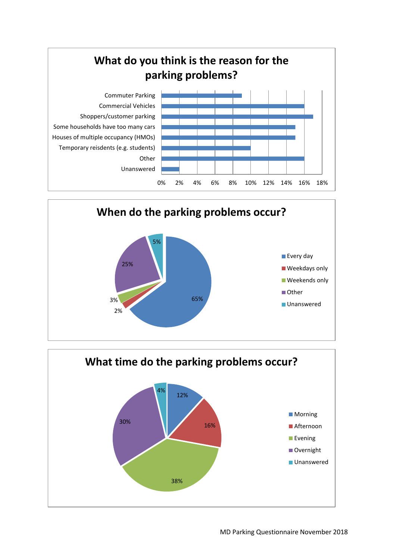



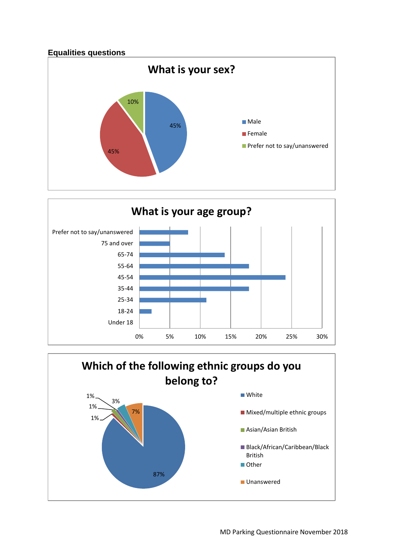



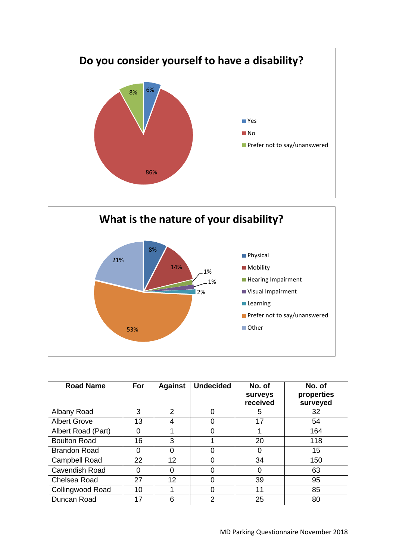



| <b>Road Name</b>        | For | <b>Against</b> | <b>Undecided</b> | No. of<br>surveys<br>received | No. of<br>properties<br>surveyed |
|-------------------------|-----|----------------|------------------|-------------------------------|----------------------------------|
| Albany Road             | 3   | 2              |                  | 5                             | 32                               |
| <b>Albert Grove</b>     | 13  | 4              |                  | 17                            | 54                               |
| Albert Road (Part)      | 0   |                | Ω                |                               | 164                              |
| <b>Boulton Road</b>     | 16  | 3              |                  | 20                            | 118                              |
| <b>Brandon Road</b>     | 0   | 0              |                  | 0                             | 15                               |
| <b>Campbell Road</b>    | 22  | 12             |                  | 34                            | 150                              |
| <b>Cavendish Road</b>   | 0   | 0              |                  | 0                             | 63                               |
| Chelsea Road            | 27  | 12             |                  | 39                            | 95                               |
| <b>Collingwood Road</b> | 10  |                | 0                | 11                            | 85                               |
| Duncan Road             | 17  | 6              | 2                | 25                            | 80                               |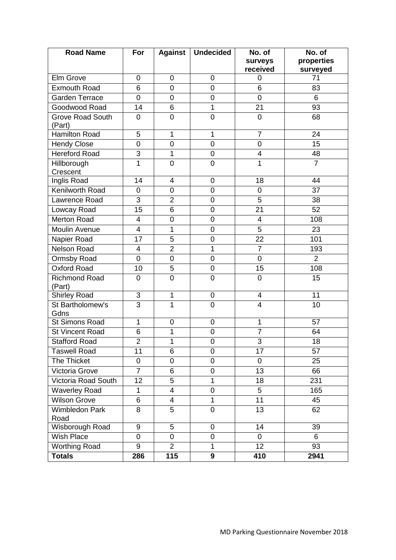| <b>Road Name</b>                  | For                       | <b>Against</b> | <b>Undecided</b> | No. of           | No. of         |
|-----------------------------------|---------------------------|----------------|------------------|------------------|----------------|
|                                   |                           |                |                  | surveys          | properties     |
|                                   |                           |                |                  | received         | surveyed       |
| Elm Grove                         | $\mathbf 0$               | 0              | 0                | 0                | 71             |
| <b>Exmouth Road</b>               | 6                         | $\mathbf 0$    | 0                | $6\phantom{1}$   | 83             |
| <b>Garden Terrace</b>             | $\overline{0}$            | $\overline{0}$ | $\overline{0}$   | $\overline{0}$   | 6              |
| Goodwood Road                     | 14                        | 6              | $\mathbf{1}$     | 21               | 93             |
| <b>Grove Road South</b><br>(Part) | $\mathbf 0$               | $\mathbf 0$    | 0                | $\mathbf 0$      | 68             |
| <b>Hamilton Road</b>              | 5                         | 1              | 1                | $\overline{7}$   | 24             |
| <b>Hendy Close</b>                | $\mathbf 0$               | $\mathbf 0$    | 0                | $\mathbf 0$      | 15             |
| <b>Hereford Road</b>              | 3                         | 1              | 0                | 4                | 48             |
| Hillborough<br>Crescent           | $\mathbf 1$               | $\mathbf 0$    | 0                | 1                | $\overline{7}$ |
| Inglis Road                       | 14                        | 4              | 0                | 18               | 44             |
| Kenilworth Road                   | $\mathbf 0$               | $\mathbf 0$    | $\mathbf 0$      | $\boldsymbol{0}$ | 37             |
| Lawrence Road                     | 3                         | $\overline{2}$ | 0                | 5                | 38             |
| Lowcay Road                       | 15                        | 6              | $\overline{0}$   | 21               | 52             |
| <b>Merton Road</b>                | $\overline{4}$            | $\mathbf 0$    | 0                | 4                | 108            |
| Moulin Avenue                     | 4                         | 1              | 0                | 5                | 23             |
| Napier Road                       | 17                        | 5              | 0                | 22               | 101            |
| <b>Nelson Road</b>                | 4                         | $\overline{2}$ | 1                | $\overline{7}$   | 193            |
| Ormsby Road                       | $\mathbf 0$               | $\mathsf 0$    | 0                | $\mathbf 0$      | 2              |
| <b>Oxford Road</b>                | 10                        | 5              | 0                | 15               | 108            |
| <b>Richmond Road</b><br>(Part)    | $\mathbf 0$               | $\mathbf 0$    | 0                | $\overline{0}$   | 15             |
| <b>Shirley Road</b>               | $\ensuremath{\mathsf{3}}$ | 1              | 0                | 4                | 11             |
| St Bartholomew's<br>Gdns          | $\overline{3}$            | 1              | $\overline{0}$   | $\overline{4}$   | 10             |
| <b>St Simons Road</b>             | $\mathbf{1}$              | $\mathbf 0$    | 0                | 1                | 57             |
| <b>St Vincent Road</b>            | 6                         | 1              | 0                | $\overline{7}$   | 64             |
| <b>Stafford Road</b>              | $\overline{2}$            | 1              | $\overline{0}$   | $\overline{3}$   | 18             |
| <b>Taswell Road</b>               | 11                        | 6              | 0                | 17               | 57             |
| The Thicket                       | $\mathbf 0$               | 0              | 0                | $\mathbf 0$      | 25             |
| Victoria Grove                    | $\overline{7}$            | $\overline{6}$ | 0                | 13               | 66             |
| Victoria Road South               | 12                        | $\overline{5}$ | $\overline{1}$   | 18               | 231            |
| <b>Waverley Road</b>              | $\mathbf{1}$              | $\overline{4}$ | $\overline{0}$   | 5                | 165            |
| <b>Wilson Grove</b>               | 6                         | 4              | $\mathbf{1}$     | 11               | 45             |
| <b>Wimbledon Park</b><br>Road     | 8                         | 5              | $\mathsf 0$      | 13               | 62             |
| Wisborough Road                   | $\boldsymbol{9}$          | 5              | 0                | 14               | 39             |
| Wish Place                        | $\mathbf 0$               | $\overline{0}$ | 0                | $\overline{0}$   | 6              |
| <b>Worthing Road</b>              | 9                         | $\overline{2}$ | $\mathbf{1}$     | 12               | 93             |
| <b>Totals</b>                     | 286                       | 115            | 9                | 410              | 2941           |